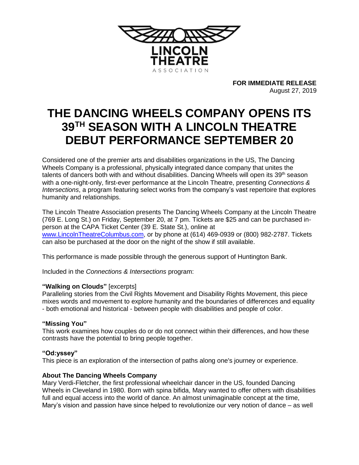

**FOR IMMEDIATE RELEASE** August 27, 2019

# **THE DANCING WHEELS COMPANY OPENS ITS 39TH SEASON WITH A LINCOLN THEATRE DEBUT PERFORMANCE SEPTEMBER 20**

Considered one of the premier arts and disabilities organizations in the US, The Dancing Wheels Company is a professional, physically integrated dance company that unites the talents of dancers both with and without disabilities. Dancing Wheels will open its  $39<sup>th</sup>$  season with a one-night-only, first-ever performance at the Lincoln Theatre, presenting *Connections & Intersections*, a program featuring select works from the company's vast repertoire that explores humanity and relationships.

The Lincoln Theatre Association presents The Dancing Wheels Company at the Lincoln Theatre (769 E. Long St.) on Friday, September 20, at 7 pm. Tickets are \$25 and can be purchased inperson at the CAPA Ticket Center (39 E. State St.), online at [www.LincolnTheatreColumbus.com,](http://www.lincolntheatrecolumbus.com/) or by phone at (614) 469-0939 or (800) 982-2787. Tickets can also be purchased at the door on the night of the show if still available.

This performance is made possible through the generous support of Huntington Bank.

Included in the *Connections & Intersections* program:

## **"Walking on Clouds"** [excerpts]

Paralleling stories from the Civil Rights Movement and Disability Rights Movement, this piece mixes words and movement to explore humanity and the boundaries of differences and equality - both emotional and historical - between people with disabilities and people of color.

#### **"Missing You"**

This work examines how couples do or do not connect within their differences, and how these contrasts have the potential to bring people together.

## **"Od:yssey"**

This piece is an exploration of the intersection of paths along one's journey or experience.

## **About The Dancing Wheels Company**

Mary Verdi-Fletcher, the first professional wheelchair dancer in the US, founded Dancing Wheels in Cleveland in 1980. Born with spina bifida, Mary wanted to offer others with disabilities full and equal access into the world of dance. An almost unimaginable concept at the time, Mary's vision and passion have since helped to revolutionize our very notion of dance – as well